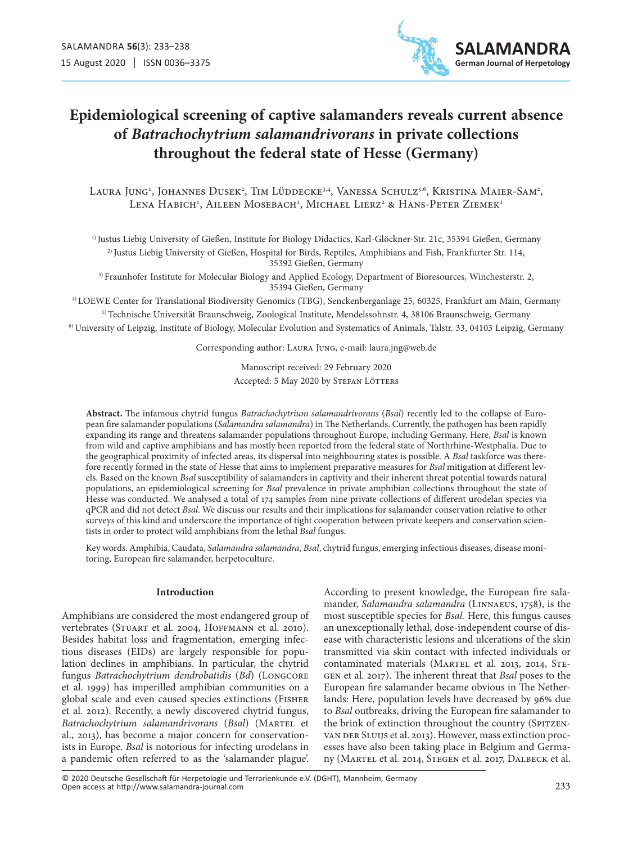

# **Epidemiological screening of captive salamanders reveals current absence of** *Batrachochytrium salamandrivorans* **in private collections throughout the federal state of Hesse (Germany)**

Laura Jung<sup>1</sup>, Johannes Dusek<sup>2</sup>, Tim Lüddecke<sup>3,4</sup>, Vanessa Schulz<sup>5,6</sup>, Kristina Maier-Sam<sup>2</sup>, Lena Habich<sup>1</sup>, Aileen Mosebach<sup>1</sup>, Michael Lierz<sup>2</sup> & Hans-Peter Ziemek<sup>1</sup>

1) Justus Liebig University of Gießen, Institute for Biology Didactics, Karl-Glöckner-Str. 21c, 35394 Gießen, Germany 2) Justus Liebig University of Gießen, Hospital for Birds, Reptiles, Amphibians and Fish, Frankfurter Str. 114, 35392 Gießen, Germany

3) Fraunhofer Institute for Molecular Biology and Applied Ecology, Department of Bioresources, Winchesterstr. 2, 35394 Gießen, Germany

4) LOEWE Center for Translational Biodiversity Genomics (TBG), Senckenberganlage 25, 60325, Frankfurt am Main, Germany 5) Technische Universität Braunschweig, Zoological Institute, Mendelssohnstr. 4, 38106 Braunschweig, Germany

6) University of Leipzig, Institute of Biology, Molecular Evolution and Systematics of Animals, Talstr. 33, 04103 Leipzig, Germany

Corresponding author: Laura Jung, e-mail: laura.jng@web.de

Manuscript received: 29 February 2020 Accepted: 5 May 2020 by STEFAN LÖTTERS

**Abstract.** The infamous chytrid fungus *Batrachochytrium salamandrivorans* (*Bsal*) recently led to the collapse of European fire salamander populations (*Salamandra salamandra*) in The Netherlands. Currently, the pathogen has been rapidly expanding its range and threatens salamander populations throughout Europe, including Germany. Here, *Bsal* is known from wild and captive amphibians and has mostly been reported from the federal state of Northrhine-Westphalia. Due to the geographical proximity of infected areas, its dispersal into neighbouring states is possible. A *Bsal* taskforce was therefore recently formed in the state of Hesse that aims to implement preparative measures for *Bsal* mitigation at different levels. Based on the known *Bsal* susceptibility of salamanders in captivity and their inherent threat potential towards natural populations, an epidemiological screening for *Bsal* prevalence in private amphibian collections throughout the state of Hesse was conducted. We analysed a total of 174 samples from nine private collections of different urodelan species via qPCR and did not detect *Bsal*. We discuss our results and their implications for salamander conservation relative to other surveys of this kind and underscore the importance of tight cooperation between private keepers and conservation scientists in order to protect wild amphibians from the lethal *Bsal* fungus.

Key words. Amphibia, Caudata, *Salamandra salamandra*, *Bsal*, chytrid fungus, emerging infectious diseases, disease monitoring, European fire salamander, herpetoculture.

## **Introduction**

Amphibians are considered the most endangered group of vertebrates (STUART et al. 2004, HOFFMANN et al. 2010). Besides habitat loss and fragmentation, emerging infectious diseases (EIDs) are largely responsible for population declines in amphibians. In particular, the chytrid fungus *Batrachochytrium dendrobatidis* (*Bd*) (Longcore et al. 1999) has imperilled amphibian communities on a global scale and even caused species extinctions (Fisher et al. 2012). Recently, a newly discovered chytrid fungus, *Batrachochytrium salamandrivorans* (*Bsal*) (Martel et al., 2013), has become a major concern for conservationists in Europe. *Bsal* is notorious for infecting urodelans in a pandemic often referred to as the 'salamander plague'. According to present knowledge, the European fire salamander, *Salamandra salamandra* (Linnaeus, 1758), is the most susceptible species for *Bsal.* Here, this fungus causes an unexceptionally lethal, dose-independent course of disease with characteristic lesions and ulcerations of the skin transmitted via skin contact with infected individuals or contaminated materials (MARTEL et al. 2013, 2014, STEgen et al. 2017). The inherent threat that *Bsal* poses to the European fire salamander became obvious in The Netherlands: Here, population levels have decreased by 96% due to *Bsal* outbreaks, driving the European fire salamander to the brink of extinction throughout the country (SPITZENvan DER SLUIJS et al. 2013). However, mass extinction processes have also been taking place in Belgium and Germany (Martel et al. 2014, Stegen et al. 2017, Dalbeck et al.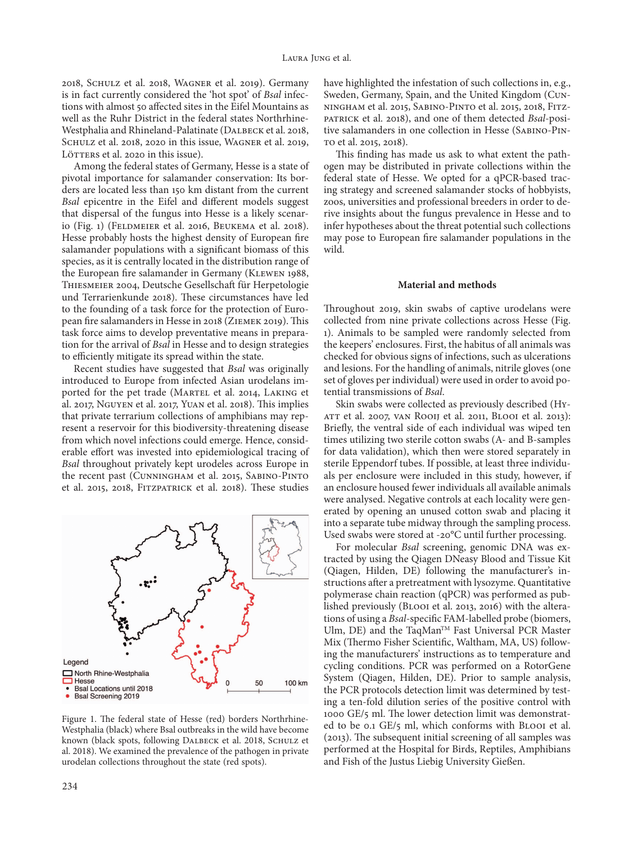2018, Schulz et al. 2018, Wagner et al. 2019). Germany is in fact currently considered the 'hot spot' of *Bsal* infections with almost 50 affected sites in the Eifel Mountains as well as the Ruhr District in the federal states Northrhine-Westphalia and Rhineland-Palatinate (DALBECK et al. 2018, Schulz et al. 2018, 2020 in this issue, Wagner et al. 2019, LÖTTERS et al. 2020 in this issue).

Among the federal states of Germany, Hesse is a state of pivotal importance for salamander conservation: Its borders are located less than 150 km distant from the current *Bsal* epicentre in the Eifel and different models suggest that dispersal of the fungus into Hesse is a likely scenario (Fig. 1) (Feldmeier et al. 2016, Beukema et al. 2018). Hesse probably hosts the highest density of European fire salamander populations with a significant biomass of this species, as it is centrally located in the distribution range of the European fire salamander in Germany (KLEWEN 1988, Thiesmeier 2004, Deutsche Gesellschaft für Herpetologie und Terrarienkunde 2018). These circumstances have led to the founding of a task force for the protection of European fire salamanders in Hesse in 2018 (Ziemek 2019). This task force aims to develop preventative means in preparation for the arrival of *Bsal* in Hesse and to design strategies to efficiently mitigate its spread within the state.

Recent studies have suggested that *Bsal* was originally introduced to Europe from infected Asian urodelans imported for the pet trade (MARTEL et al. 2014, LAKING et al. 2017, Nguyen et al. 2017, Yuan et al. 2018). This implies that private terrarium collections of amphibians may represent a reservoir for this biodiversity-threatening disease from which novel infections could emerge. Hence, considerable effort was invested into epidemiological tracing of *Bsal* throughout privately kept urodeles across Europe in the recent past (Cunningham et al. 2015, Sabino-Pinto et al. 2015, 2018, Fitzpatrick et al. 2018). These studies



Figure 1. The federal state of Hesse (red) borders Northrhine-Westphalia (black) where Bsal outbreaks in the wild have become known (black spots, following DALBECK et al. 2018, SCHULZ et al. 2018). We examined the prevalence of the pathogen in private urodelan collections throughout the state (red spots).

have highlighted the infestation of such collections in, e.g., Sweden, Germany, Spain, and the United Kingdom (Cunningham et al. 2015, Sabino-Pinto et al. 2015, 2018, Fitzpatrick et al. 2018), and one of them detected *Bsal*-positive salamanders in one collection in Hesse (Sabino-Pinto et al. 2015, 2018).

This finding has made us ask to what extent the pathogen may be distributed in private collections within the federal state of Hesse. We opted for a qPCR-based tracing strategy and screened salamander stocks of hobbyists, zoos, universities and professional breeders in order to derive insights about the fungus prevalence in Hesse and to infer hypotheses about the threat potential such collections may pose to European fire salamander populations in the wild.

### **Material and methods**

Throughout 2019, skin swabs of captive urodelans were collected from nine private collections across Hesse (Fig. 1). Animals to be sampled were randomly selected from the keepers' enclosures. First, the habitus of all animals was checked for obvious signs of infections, such as ulcerations and lesions. For the handling of animals, nitrile gloves (one set of gloves per individual) were used in order to avoid potential transmissions of *Bsal*.

Skin swabs were collected as previously described (Hyatt et al. 2007, van Rooij et al. 2011, Blooi et al. 2013): Briefly, the ventral side of each individual was wiped ten times utilizing two sterile cotton swabs (A- and B-samples for data validation), which then were stored separately in sterile Eppendorf tubes. If possible, at least three individuals per enclosure were included in this study, however, if an enclosure housed fewer individuals all available animals were analysed. Negative controls at each locality were generated by opening an unused cotton swab and placing it into a separate tube midway through the sampling process. Used swabs were stored at -20°C until further processing.

For molecular *Bsal* screening, genomic DNA was extracted by using the Qiagen DNeasy Blood and Tissue Kit (Qiagen, Hilden, DE) following the manufacturer's instructions after a pretreatment with lysozyme. Quantitative polymerase chain reaction (qPCR) was performed as published previously (Blooi et al. 2013, 2016) with the alterations of using a *Bsal*-specific FAM-labelled probe (biomers, Ulm, DE) and the TaqMan™ Fast Universal PCR Master Mix (Thermo Fisher Scientific, Waltham, MA, US) following the manufacturers' instructions as to temperature and cycling conditions. PCR was performed on a RotorGene System (Qiagen, Hilden, DE). Prior to sample analysis, the PCR protocols detection limit was determined by testing a ten-fold dilution series of the positive control with 1000 GE/5 ml. The lower detection limit was demonstrated to be 0.1 GE/5 ml, which conforms with Blooi et al. (2013). The subsequent initial screening of all samples was performed at the Hospital for Birds, Reptiles, Amphibians and Fish of the Justus Liebig University Gießen.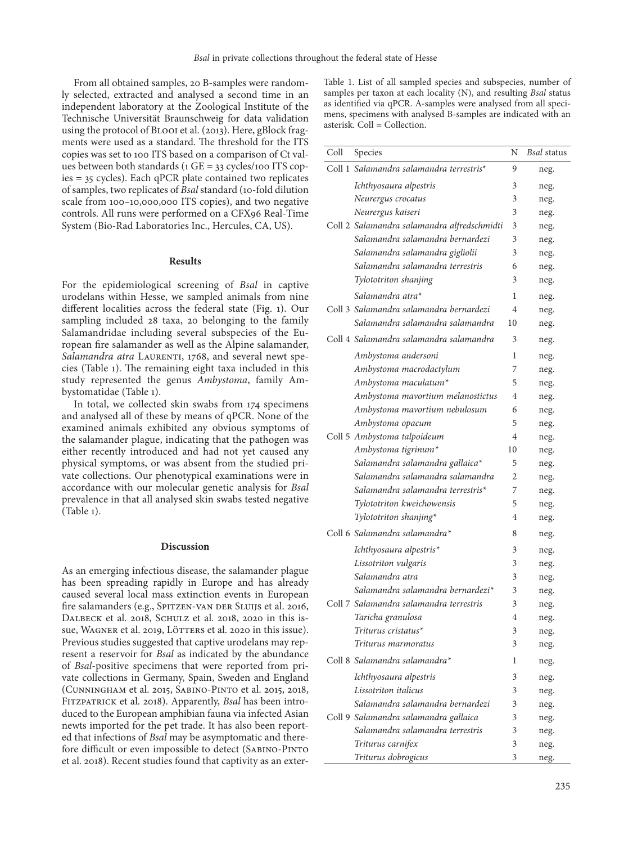From all obtained samples, 20 B-samples were randomly selected, extracted and analysed a second time in an independent laboratory at the Zoological Institute of the Technische Universität Braunschweig for data validation using the protocol of Blooi et al. (2013). Here, gBlock fragments were used as a standard. The threshold for the ITS copies was set to 100 ITS based on a comparison of Ct values between both standards (1 GE = 33 cycles/100 ITS copies = 35 cycles). Each qPCR plate contained two replicates of samples, two replicates of *Bsal* standard (10-fold dilution scale from 100–10,000,000 ITS copies), and two negative controls. All runs were performed on a CFX96 Real-Time System (Bio-Rad Laboratories Inc., Hercules, CA, US).

## **Results**

For the epidemiological screening of *Bsal* in captive urodelans within Hesse, we sampled animals from nine different localities across the federal state (Fig. 1). Our sampling included 28 taxa, 20 belonging to the family Salamandridae including several subspecies of the European fire salamander as well as the Alpine salamander, Salamandra atra LAURENTI, 1768, and several newt species (Table 1). The remaining eight taxa included in this study represented the genus *Ambystoma*, family Ambystomatidae (Table 1).

In total, we collected skin swabs from 174 specimens and analysed all of these by means of qPCR. None of the examined animals exhibited any obvious symptoms of the salamander plague, indicating that the pathogen was either recently introduced and had not yet caused any physical symptoms, or was absent from the studied private collections. Our phenotypical examinations were in accordance with our molecular genetic analysis for *Bsal* prevalence in that all analysed skin swabs tested negative (Table 1).

#### **Discussion**

As an emerging infectious disease, the salamander plague has been spreading rapidly in Europe and has already caused several local mass extinction events in European fire salamanders (e.g., SPITZEN-VAN DER SLUIJS et al. 2016, DALBECK et al. 2018, SCHULZ et al. 2018, 2020 in this issue, WAGNER et al. 2019, LÖTTERS et al. 2020 in this issue). Previous studies suggested that captive urodelans may represent a reservoir for *Bsal* as indicated by the abundance of *Bsal*-positive specimens that were reported from private collections in Germany, Spain, Sweden and England (Cunningham et al. 2015, Sabino-Pinto et al. 2015, 2018, Fitzpatrick et al. 2018). Apparently, *Bsal* has been introduced to the European amphibian fauna via infected Asian newts imported for the pet trade. It has also been reported that infections of *Bsal* may be asymptomatic and therefore difficult or even impossible to detect (Sabino-Pinto et al. 2018). Recent studies found that captivity as an exter-

Table 1. List of all sampled species and subspecies, number of samples per taxon at each locality (N), and resulting *Bsal* status as identified via qPCR. A-samples were analysed from all specimens, specimens with analysed B-samples are indicated with an asterisk. Coll = Collection.

| Coll | Species                                     | N              | <b>Bsal</b> status |
|------|---------------------------------------------|----------------|--------------------|
|      | Coll 1 Salamandra salamandra terrestris*    | 9              | neg.               |
|      | Ichthyosaura alpestris                      | 3              | neg.               |
|      | Neurergus crocatus                          | 3              | neg.               |
|      | Neurergus kaiseri                           | 3              | neg.               |
|      | Coll 2 Salamandra salamandra alfredschmidti | 3              | neg.               |
|      | Salamandra salamandra bernardezi            | 3              | neg.               |
|      | Salamandra salamandra gigliolii             | 3              | neg.               |
|      | Salamandra salamandra terrestris            | 6              | neg.               |
|      | Tylototriton shanjing                       | 3              | neg.               |
|      | Salamandra atra*                            | 1              | neg.               |
|      | Coll 3 Salamandra salamandra bernardezi     | $\overline{4}$ | neg.               |
|      | Salamandra salamandra salamandra            | 10             | neg.               |
|      | Coll 4 Salamandra salamandra salamandra     | 3              | neg.               |
|      | Ambystoma andersoni                         | 1              | neg.               |
|      | Ambystoma macrodactylum                     | 7              | neg.               |
|      | Ambystoma maculatum*                        | 5              | neg.               |
|      | Ambystoma mavortium melanostictus           | 4              | neg.               |
|      | Ambystoma mavortium nebulosum               | 6              | neg.               |
|      | Ambystoma opacum                            | 5              | neg.               |
|      | Coll 5 Ambystoma talpoideum                 | 4              | neg.               |
|      | Ambystoma tigrinum*                         | 10             | neg.               |
|      | Salamandra salamandra gallaica*             | 5              | neg.               |
|      | Salamandra salamandra salamandra            | $\overline{2}$ | neg.               |
|      | Salamandra salamandra terrestris*           | 7              | neg.               |
|      | Tylototriton kweichowensis                  | 5              | neg.               |
|      | Tylototriton shanjing*                      | 4              | neg.               |
|      | Coll 6 Salamandra salamandra*               | 8              | neg.               |
|      | Ichthyosaura alpestris*                     | 3              | neg.               |
|      | Lissotriton vulgaris                        | 3              | neg.               |
|      | Salamandra atra                             | 3              | neg.               |
|      | Salamandra salamandra bernardezi*           | 3              | neg.               |
|      | Coll 7 Salamandra salamandra terrestris     | 3              | neg.               |
|      | Taricha granulosa                           | $\overline{4}$ | neg.               |
|      | Triturus cristatus*                         | 3              | neg.               |
|      | Triturus marmoratus                         | 3              | neg.               |
|      | Coll 8 Salamandra salamandra*               | 1              | neg.               |
|      | Ichthyosaura alpestris                      | 3              | neg.               |
|      | Lissotriton italicus                        | 3              | neg.               |
|      | Salamandra salamandra bernardezi            | 3              | neg.               |
|      | Coll 9 Salamandra salamandra gallaica       | 3              | neg.               |
|      | Salamandra salamandra terrestris            | 3              | neg.               |
|      | Triturus carnifex                           | 3              | neg.               |
|      | Triturus dobrogicus                         | 3              | neg.               |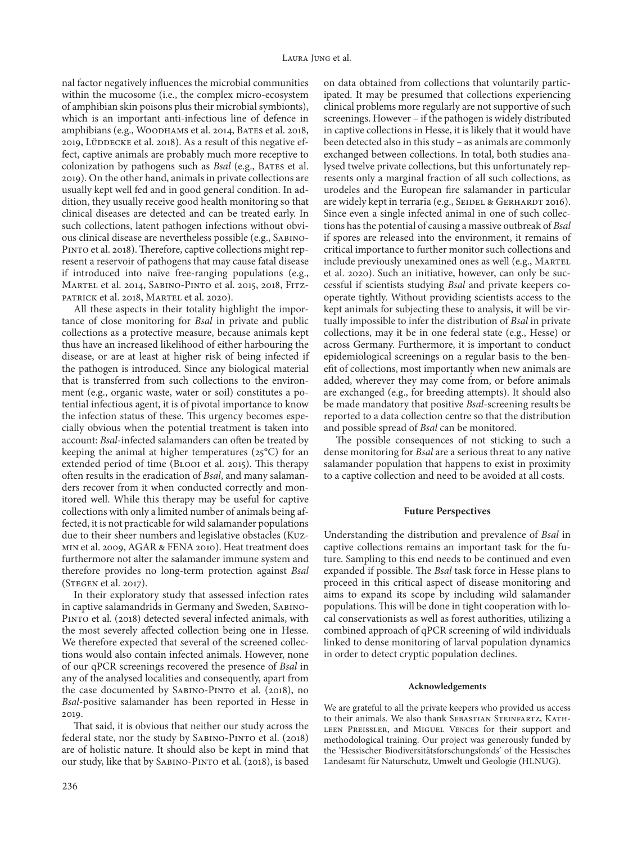nal factor negatively influences the microbial communities within the mucosome (i.e., the complex micro-ecosystem of amphibian skin poisons plus their microbial symbionts), which is an important anti-infectious line of defence in amphibians (e.g., WOODHAMS et al. 2014, BATES et al. 2018, 2019, LÜDDECKE et al. 2018). As a result of this negative effect, captive animals are probably much more receptive to colonization by pathogens such as *Bsal* (e.g., BATES et al. 2019). On the other hand, animals in private collections are usually kept well fed and in good general condition. In addition, they usually receive good health monitoring so that clinical diseases are detected and can be treated early. In such collections, latent pathogen infections without obvious clinical disease are nevertheless possible (e.g., Sabino-PINTO et al. 2018). Therefore, captive collections might represent a reservoir of pathogens that may cause fatal disease if introduced into naïve free-ranging populations (e.g., Martel et al. 2014, Sabino-Pinto et al. 2015, 2018, Fitzpatrick et al. 2018, Martel et al. 2020).

All these aspects in their totality highlight the importance of close monitoring for *Bsal* in private and public collections as a protective measure, because animals kept thus have an increased likelihood of either harbouring the disease, or are at least at higher risk of being infected if the pathogen is introduced. Since any biological material that is transferred from such collections to the environment (e.g., organic waste, water or soil) constitutes a potential infectious agent, it is of pivotal importance to know the infection status of these. This urgency becomes especially obvious when the potential treatment is taken into account: *Bsal*-infected salamanders can often be treated by keeping the animal at higher temperatures  $(25^{\circ}C)$  for an extended period of time (Blooi et al. 2015). This therapy often results in the eradication of *Bsal*, and many salamanders recover from it when conducted correctly and monitored well. While this therapy may be useful for captive collections with only a limited number of animals being affected, it is not practicable for wild salamander populations due to their sheer numbers and legislative obstacles (Kuzmin et al. 2009, AGAR & FENA 2010). Heat treatment does furthermore not alter the salamander immune system and therefore provides no long-term protection against *Bsal* (Stegen et al. 2017).

In their exploratory study that assessed infection rates in captive salamandrids in Germany and Sweden, Sabino-PINTO et al. (2018) detected several infected animals, with the most severely affected collection being one in Hesse. We therefore expected that several of the screened collections would also contain infected animals. However, none of our qPCR screenings recovered the presence of *Bsal* in any of the analysed localities and consequently, apart from the case documented by Sabino-Pinto et al. (2018), no *Bsal*-positive salamander has been reported in Hesse in 2019.

That said, it is obvious that neither our study across the federal state, nor the study by Sabino-Pinto et al. (2018) are of holistic nature. It should also be kept in mind that our study, like that by Sabino-Pinto et al. (2018), is based

on data obtained from collections that voluntarily participated. It may be presumed that collections experiencing clinical problems more regularly are not supportive of such screenings. However – if the pathogen is widely distributed in captive collections in Hesse, it is likely that it would have been detected also in this study – as animals are commonly exchanged between collections. In total, both studies analysed twelve private collections, but this unfortunately represents only a marginal fraction of all such collections, as urodeles and the European fire salamander in particular are widely kept in terraria (e.g., SEIDEL & GERHARDT 2016). Since even a single infected animal in one of such collections has the potential of causing a massive outbreak of *Bsal* if spores are released into the environment, it remains of critical importance to further monitor such collections and include previously unexamined ones as well (e.g., MARTEL et al. 2020). Such an initiative, however, can only be successful if scientists studying *Bsal* and private keepers cooperate tightly. Without providing scientists access to the kept animals for subjecting these to analysis, it will be virtually impossible to infer the distribution of *Bsal* in private collections, may it be in one federal state (e.g., Hesse) or across Germany. Furthermore, it is important to conduct epidemiological screenings on a regular basis to the benefit of collections, most importantly when new animals are added, wherever they may come from, or before animals are exchanged (e.g., for breeding attempts). It should also be made mandatory that positive *Bsal*-screening results be reported to a data collection centre so that the distribution and possible spread of *Bsal* can be monitored.

The possible consequences of not sticking to such a dense monitoring for *Bsal* are a serious threat to any native salamander population that happens to exist in proximity to a captive collection and need to be avoided at all costs.

#### **Future Perspectives**

Understanding the distribution and prevalence of *Bsal* in captive collections remains an important task for the future. Sampling to this end needs to be continued and even expanded if possible. The *Bsal* task force in Hesse plans to proceed in this critical aspect of disease monitoring and aims to expand its scope by including wild salamander populations. This will be done in tight cooperation with local conservationists as well as forest authorities, utilizing a combined approach of qPCR screening of wild individuals linked to dense monitoring of larval population dynamics in order to detect cryptic population declines.

#### **Acknowledgements**

We are grateful to all the private keepers who provided us access to their animals. We also thank SEBASTIAN STEINFARTZ, KATHleen Preissler, and Miguel Vences for their support and methodological training. Our project was generously funded by the 'Hessischer Biodiversitätsforschungsfonds' of the Hessisches Landesamt für Naturschutz, Umwelt und Geologie (HLNUG).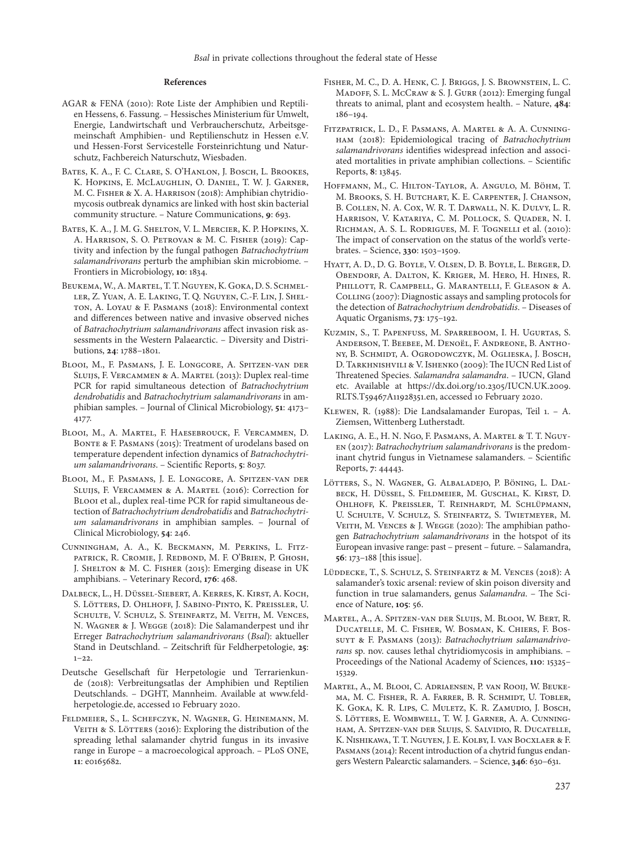#### **References**

- AGAR & FENA (2010): Rote Liste der Amphibien und Reptilien Hessens, 6. Fassung. – Hessisches Ministerium für Umwelt, Energie, Landwirtschaft und Verbraucherschutz, Arbeitsgemeinschaft Amphibien- und Reptilienschutz in Hessen e.V. und Hessen-Forst Servicestelle Forsteinrichtung und Naturschutz, Fachbereich Naturschutz, Wiesbaden.
- Bates, K. A., F. C. Clare, S. O'Hanlon, J. Bosch, L. Brookes, K. Hopkins, E. McLaughlin, O. Daniel, T. W. J. Garner, M. C. Fisher & X. A. Harrison (2018): Amphibian chytridiomycosis outbreak dynamics are linked with host skin bacterial community structure. – Nature Communications, **9**: 693.
- Bates, K. A., J. M. G. Shelton, V. L. Mercier, K. P. Hopkins, X. A. Harrison, S. O. Petrovan & M. C. Fisher (2019): Captivity and infection by the fungal pathogen *Batrachochytrium salamandrivorans* perturb the amphibian skin microbiome. – Frontiers in Microbiology, **10**: 1834.
- Beukema, W., A. Martel, T. T. Nguyen, K. Goka, D. S. Schmeller, Z. Yuan, A. E. Laking, T. Q. Nguyen, C.-F. Lin, J. Shelton, A. Loyau & F. Pasmans (2018): Environmental context and differences between native and invasive observed niches of *Batrachochytrium salamandrivorans* affect invasion risk assessments in the Western Palaearctic. – Diversity and Distributions, **24**: 1788–1801.
- Blooi, M., F. Pasmans, J. E. Longcore, A. Spitzen-van der Sluijs, F. Vercammen & A. Martel (2013): Duplex real-time PCR for rapid simultaneous detection of *Batrachochytrium dendrobatidis* and *Batrachochytrium salamandrivorans* in amphibian samples. – Journal of Clinical Microbiology, **51**: 4173– 4177.
- Blooi, M., A. Martel, F. Haesebrouck, F. Vercammen, D. BONTE & F. PASMANS (2015): Treatment of urodelans based on temperature dependent infection dynamics of *Batrachochytrium salamandrivorans*. – Scientific Reports, **5**: 8037.
- Blooi, M., F. Pasmans, J. E. Longcore, A. Spitzen-van der Sluijs, F. Vercammen & A. Martel (2016): Correction for Blooi et al., duplex real-time PCR for rapid simultaneous detection of *Batrachochytrium dendrobatidis* and *Batrachochytrium salamandrivorans* in amphibian samples. – Journal of Clinical Microbiology, **54**: 246.
- Cunningham, A. A., K. Beckmann, M. Perkins, L. Fitzpatrick, R. Cromie, J. Redbond, M. F. O'Brien, P. Ghosh, J. SHELTON & M. C. FISHER (2015): Emerging disease in UK amphibians. – Veterinary Record, **176**: 468.
- Dalbeck, L., H. Düssel-Siebert, A. Kerres, K. Kirst, A. Koch, S. Lötters, D. Ohlhoff, J. Sabino-Pinto, K. Preissler, U. Schulte, V. Schulz, S. Steinfartz, M. Veith, M. Vences, N. Wagner & J. Wegge (2018): Die Salamanderpest und ihr Erreger *Batrachochytrium salamandrivorans* (*Bsal*): aktueller Stand in Deutschland. – Zeitschrift für Feldherpetologie, **25**:  $1 - 22$ .
- Deutsche Gesellschaft für Herpetologie und Terrarienkunde (2018): Verbreitungsatlas der Amphibien und Reptilien Deutschlands. – DGHT, Mannheim. Available at www.feldherpetologie.de, accessed 10 February 2020.
- Feldmeier, S., L. Schefczyk, N. Wagner, G. Heinemann, M. VEITH & S. LÖTTERS (2016): Exploring the distribution of the spreading lethal salamander chytrid fungus in its invasive range in Europe – a macroecological approach. – PLoS ONE, **11**: e0165682.
- Fisher, M. C., D. A. Henk, C. J. Briggs, J. S. Brownstein, L. C. Madoff, S. L. McCraw & S. J. Gurr (2012): Emerging fungal threats to animal, plant and ecosystem health. – Nature, **484**: 186–194.
- Fitzpatrick, L. D., F. Pasmans, A. Martel & A. A. Cunningham (2018): Epidemiological tracing of *Batrachochytrium salamandrivorans* identifies widespread infection and associated mortalities in private amphibian collections. – Scientific Reports, **8**: 13845.
- Hoffmann, M., C. Hilton-Taylor, A. Angulo, M. Böhm, T. M. Brooks, S. H. Butchart, K. E. Carpenter, J. Chanson, B. Collen, N. A. Cox, W. R. T. Darwall, N. K. Dulvy, L. R. Harrison, V. Katariya, C. M. Pollock, S. Quader, N. I. Richman, A. S. L. Rodrigues, M. F. Tognelli et al. (2010): The impact of conservation on the status of the world's vertebrates. – Science, **330**: 1503–1509.
- Hyatt, A. D., D. G. Boyle, V. Olsen, D. B. Boyle, L. Berger, D. Obendorf, A. Dalton, K. Kriger, M. Hero, H. Hines, R. Phillott, R. Campbell, G. Marantelli, F. Gleason & A. COLLING (2007): Diagnostic assays and sampling protocols for the detection of *Batrachochytrium dendrobatidis*. – Diseases of Aquatic Organisms, **73**: 175–192.
- Kuzmin, S., T. Papenfuss, M. Sparreboom, I. H. Ugurtas, S. Anderson, T. Beebee, M. Denoël, F. Andreone, B. Anthony, B. Schmidt, A. Ogrodowczyk, M. Oglieska, J. Bosch, D. Tarkhnishvili & V. Ishenko (2009): The IUCN Red List of Threatened Species. *Salamandra salamandra*. – IUCN, Gland etc. Available at https://dx.doi.org/10.2305/IUCN.UK.2009. RLTS.T59467A11928351.en, accessed 10 February 2020.
- Klewen, R. (1988): Die Landsalamander Europas, Teil 1. A. Ziemsen, Wittenberg Lutherstadt.
- Laking, A. E., H. N. Ngo, F. Pasmans, A. Martel & T. T. Nguyen (2017): *Batrachochytrium salamandrivorans* is the predominant chytrid fungus in Vietnamese salamanders. – Scientific Reports, **7**: 44443.
- Lötters, S., N. Wagner, G. Albaladejo, P. Böning, L. Dalbeck, H. Düssel, S. Feldmeier, M. Guschal, K. Kirst, D. Ohlhoff, K. Preissler, T. Reinhardt, M. Schlüpmann, U. Schulte, V. Schulz, S. Steinfartz, S. Twietmeyer, M. VEITH, M. VENCES & J. WEGGE (2020): The amphibian pathogen *Batrachochytrium salamandrivorans* in the hotspot of its European invasive range: past – present – future. – Salamandra, **56**: 173–188 [this issue].
- Lüddecke, T., S. Schulz, S. Steinfartz & M. Vences (2018): A salamander's toxic arsenal: review of skin poison diversity and function in true salamanders, genus *Salamandra*. – The Science of Nature, **105**: 56.
- Martel, A., A. Spitzen-van der Sluijs, M. Blooi, W. Bert, R. Ducatelle, M. C. Fisher, W. Bosman, K. Chiers, F. Bossuyt & F. Pasmans (2013): *Batrachochytrium salamandrivorans* sp. nov. causes lethal chytridiomycosis in amphibians. – Proceedings of the National Academy of Sciences, **110**: 15325– 15329.
- Martel, A., M. Blooi, C. Adriaensen, P. van Rooij, W. Beukema, M. C. Fisher, R. A. Farrer, B. R. Schmidt, U. Tobler, K. Goka, K. R. Lips, C. Muletz, K. R. Zamudio, J. Bosch, S. Lötters, E. Wombwell, T. W. J. Garner, A. A. Cunningham, A. Spitzen-van der Sluijs, S. Salvidio, R. Ducatelle, K. Nishikawa, T. T. Nguyen, J. E. Kolby, I. van Bocxlaer & F. Pasmans (2014): Recent introduction of a chytrid fungus endangers Western Palearctic salamanders. – Science, **346**: 630–631.